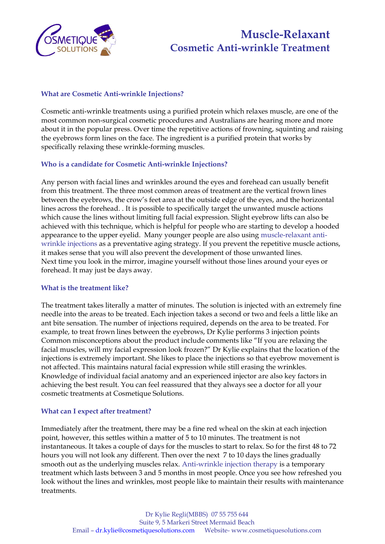

## **Muscle-Relaxant Cosmetic Anti-wrinkle Treatment**

#### **What are Cosmetic Anti-wrinkle Injections?**

Cosmetic anti-wrinkle treatments using a purified protein which relaxes muscle, are one of the most common non-surgical cosmetic procedures and Australians are hearing more and more about it in the popular press. Over time the repetitive actions of frowning, squinting and raising the eyebrows form lines on the face. The ingredient is a purified protein that works by specifically relaxing these wrinkle-forming muscles.

#### **Who is a candidate for Cosmetic Anti-wrinkle Injections?**

Any person with facial lines and wrinkles around the eyes and forehead can usually benefit from this treatment. The three most common areas of treatment are the vertical frown lines between the eyebrows, the crow's feet area at the outside edge of the eyes, and the horizontal lines across the forehead. . It is possible to specifically target the unwanted muscle actions which cause the lines without limiting full facial expression. Slight eyebrow lifts can also be achieved with this technique, which is helpful for people who are starting to develop a hooded appearance to the upper eyelid. Many younger people are also using muscle-relaxant antiwrinkle injections as a preventative aging strategy. If you prevent the repetitive muscle actions, it makes sense that you will also prevent the development of those unwanted lines. Next time you look in the mirror, imagine yourself without those lines around your eyes or forehead. It may just be days away.

#### **What is the treatment like?**

The treatment takes literally a matter of minutes. The solution is injected with an extremely fine needle into the areas to be treated. Each injection takes a second or two and feels a little like an ant bite sensation. The number of injections required, depends on the area to be treated. For example, to treat frown lines between the eyebrows, Dr Kylie performs 3 injection points Common misconceptions about the product include comments like "If you are relaxing the facial muscles, will my facial expression look frozen?" Dr Kylie explains that the location of the injections is extremely important. She likes to place the injections so that eyebrow movement is not affected. This maintains natural facial expression while still erasing the wrinkles. Knowledge of individual facial anatomy and an experienced injector are also key factors in achieving the best result. You can feel reassured that they always see a doctor for all your cosmetic treatments at Cosmetique Solutions.

#### **What can I expect after treatment?**

Immediately after the treatment, there may be a fine red wheal on the skin at each injection point, however, this settles within a matter of 5 to 10 minutes. The treatment is not instantaneous. It takes a couple of days for the muscles to start to relax. So for the first 48 to 72 hours you will not look any different. Then over the next 7 to 10 days the lines gradually smooth out as the underlying muscles relax. Anti-wrinkle injection therapy is a temporary treatment which lasts between 3 and 5 months in most people. Once you see how refreshed you look without the lines and wrinkles, most people like to maintain their results with maintenance treatments.